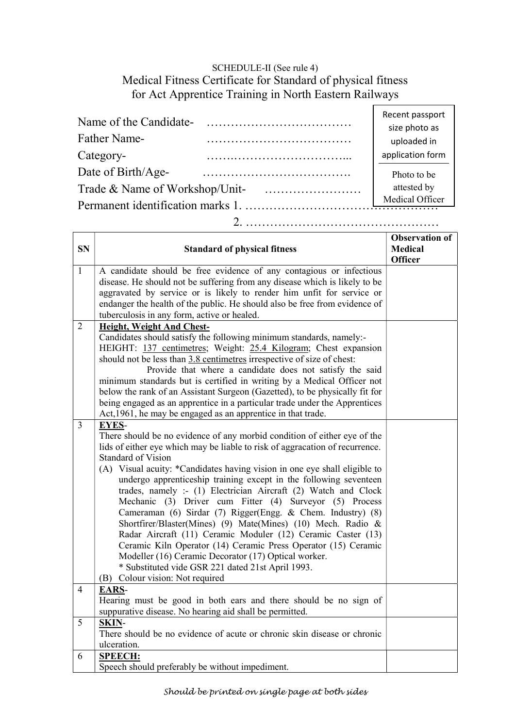## SCHEDULE-II (See rule 4) Medical Fitness Certificate for Standard of physical fitness for Act Apprentice Training in North Eastern Railways

| Name of the Candidate-            |                 | Recent passport  |  |  |
|-----------------------------------|-----------------|------------------|--|--|
|                                   |                 | size photo as    |  |  |
| Father Name-                      |                 | uploaded in      |  |  |
| Category-                         |                 | application form |  |  |
| Date of Birth/Age-                |                 | Photo to be      |  |  |
| Trade & Name of Workshop/Unit-    | attested by     |                  |  |  |
| Permanent identification marks 1. | Medical Officer |                  |  |  |
|                                   |                 |                  |  |  |

2. …………………………………………

| <b>SN</b>      | <b>Standard of physical fitness</b>                                                                                                       | <b>Observation of</b><br><b>Medical</b><br><b>Officer</b> |
|----------------|-------------------------------------------------------------------------------------------------------------------------------------------|-----------------------------------------------------------|
| $\mathbf{1}$   | A candidate should be free evidence of any contagious or infectious                                                                       |                                                           |
|                | disease. He should not be suffering from any disease which is likely to be                                                                |                                                           |
|                | aggravated by service or is likely to render him unfit for service or                                                                     |                                                           |
|                | endanger the health of the public. He should also be free from evidence of                                                                |                                                           |
|                | tuberculosis in any form, active or healed.                                                                                               |                                                           |
| $\overline{2}$ | Height, Weight And Chest-                                                                                                                 |                                                           |
|                | Candidates should satisfy the following minimum standards, namely:-                                                                       |                                                           |
|                | HEIGHT: 137 centimetres; Weight: 25.4 Kilogram; Chest expansion<br>should not be less than 3.8 centimetres irrespective of size of chest: |                                                           |
|                | Provide that where a candidate does not satisfy the said                                                                                  |                                                           |
|                | minimum standards but is certified in writing by a Medical Officer not                                                                    |                                                           |
|                | below the rank of an Assistant Surgeon (Gazetted), to be physically fit for                                                               |                                                           |
|                | being engaged as an apprentice in a particular trade under the Apprentices                                                                |                                                           |
|                | Act, 1961, he may be engaged as an apprentice in that trade.                                                                              |                                                           |
| $\overline{3}$ | <b>EYES-</b>                                                                                                                              |                                                           |
|                | There should be no evidence of any morbid condition of either eye of the                                                                  |                                                           |
|                | lids of either eye which may be liable to risk of aggracation of recurrence.                                                              |                                                           |
|                | <b>Standard of Vision</b>                                                                                                                 |                                                           |
|                | (A) Visual acuity: *Candidates having vision in one eye shall eligible to                                                                 |                                                           |
|                | undergo apprenticeship training except in the following seventeen                                                                         |                                                           |
|                | trades, namely :- (1) Electrician Aircraft (2) Watch and Clock                                                                            |                                                           |
|                | Mechanic (3) Driver cum Fitter (4) Surveyor (5) Process                                                                                   |                                                           |
|                | Cameraman (6) Sirdar (7) Rigger(Engg. & Chem. Industry) (8)                                                                               |                                                           |
|                | Shortfirer/Blaster(Mines) (9) Mate(Mines) (10) Mech. Radio &                                                                              |                                                           |
|                | Radar Aircraft (11) Ceramic Moduler (12) Ceramic Caster (13)                                                                              |                                                           |
|                | Ceramic Kiln Operator (14) Ceramic Press Operator (15) Ceramic                                                                            |                                                           |
|                | Modeller (16) Ceramic Decorator (17) Optical worker.                                                                                      |                                                           |
|                | * Substituted vide GSR 221 dated 21st April 1993.                                                                                         |                                                           |
|                | (B) Colour vision: Not required                                                                                                           |                                                           |
| $\overline{4}$ | <b>EARS-</b><br>Hearing must be good in both ears and there should be no sign of                                                          |                                                           |
|                | suppurative disease. No hearing aid shall be permitted.                                                                                   |                                                           |
| 5              | SKIN-                                                                                                                                     |                                                           |
|                | There should be no evidence of acute or chronic skin disease or chronic                                                                   |                                                           |
|                | ulceration.                                                                                                                               |                                                           |
| 6              | <b>SPEECH:</b>                                                                                                                            |                                                           |
|                | Speech should preferably be without impediment.                                                                                           |                                                           |